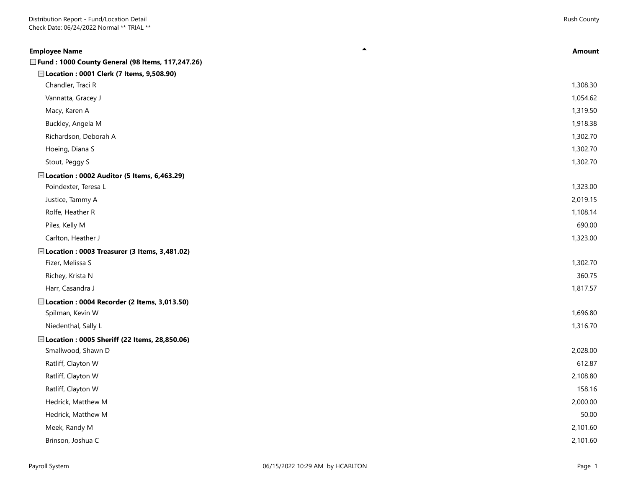| <b>Employee Name</b>                               | <b>Amount</b> |
|----------------------------------------------------|---------------|
| □ Fund: 1000 County General (98 Items, 117,247.26) |               |
| □ Location: 0001 Clerk (7 Items, 9,508.90)         |               |
| Chandler, Traci R                                  | 1,308.30      |
| Vannatta, Gracey J                                 | 1,054.62      |
| Macy, Karen A                                      | 1,319.50      |
| Buckley, Angela M                                  | 1,918.38      |
| Richardson, Deborah A                              | 1,302.70      |
| Hoeing, Diana S                                    | 1,302.70      |
| Stout, Peggy S                                     | 1,302.70      |
| E Location: 0002 Auditor (5 Items, 6,463.29)       |               |
| Poindexter, Teresa L                               | 1,323.00      |
| Justice, Tammy A                                   | 2,019.15      |
| Rolfe, Heather R                                   | 1,108.14      |
| Piles, Kelly M                                     | 690.00        |
| Carlton, Heather J                                 | 1,323.00      |
| □ Location: 0003 Treasurer (3 Items, 3,481.02)     |               |
| Fizer, Melissa S                                   | 1,302.70      |
| Richey, Krista N                                   | 360.75        |
| Harr, Casandra J                                   | 1,817.57      |
| □ Location: 0004 Recorder (2 Items, 3,013.50)      |               |
| Spilman, Kevin W                                   | 1,696.80      |
| Niedenthal, Sally L                                | 1,316.70      |
| □ Location: 0005 Sheriff (22 Items, 28,850.06)     |               |
| Smallwood, Shawn D                                 | 2,028.00      |
| Ratliff, Clayton W                                 | 612.87        |
| Ratliff, Clayton W                                 | 2,108.80      |
| Ratliff, Clayton W                                 | 158.16        |
| Hedrick, Matthew M                                 | 2,000.00      |
| Hedrick, Matthew M                                 | 50.00         |
| Meek, Randy M                                      | 2,101.60      |
| Brinson, Joshua C                                  | 2,101.60      |
|                                                    |               |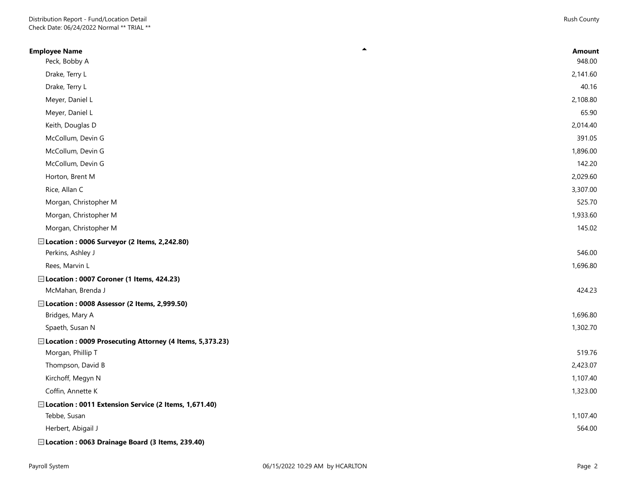| ▲<br><b>Employee Name</b>                                 | <b>Amount</b> |
|-----------------------------------------------------------|---------------|
| Peck, Bobby A                                             | 948.00        |
| Drake, Terry L                                            | 2,141.60      |
| Drake, Terry L                                            | 40.16         |
| Meyer, Daniel L                                           | 2,108.80      |
| Meyer, Daniel L                                           | 65.90         |
| Keith, Douglas D                                          | 2,014.40      |
| McCollum, Devin G                                         | 391.05        |
| McCollum, Devin G                                         | 1,896.00      |
| McCollum, Devin G                                         | 142.20        |
| Horton, Brent M                                           | 2,029.60      |
| Rice, Allan C                                             | 3,307.00      |
| Morgan, Christopher M                                     | 525.70        |
| Morgan, Christopher M                                     | 1,933.60      |
| Morgan, Christopher M                                     | 145.02        |
| □ Location: 0006 Surveyor (2 Items, 2,242.80)             |               |
| Perkins, Ashley J                                         | 546.00        |
| Rees, Marvin L                                            | 1,696.80      |
| □ Location: 0007 Coroner (1 Items, 424.23)                |               |
| McMahan, Brenda J                                         | 424.23        |
| □ Location: 0008 Assessor (2 Items, 2,999.50)             |               |
| Bridges, Mary A                                           | 1,696.80      |
| Spaeth, Susan N                                           | 1,302.70      |
| □ Location: 0009 Prosecuting Attorney (4 Items, 5,373.23) |               |
| Morgan, Phillip T                                         | 519.76        |
| Thompson, David B                                         | 2,423.07      |
| Kirchoff, Megyn N                                         | 1,107.40      |
| Coffin, Annette K                                         | 1,323.00      |
| □ Location: 0011 Extension Service (2 Items, 1,671.40)    |               |
| Tebbe, Susan                                              | 1,107.40      |
| Herbert, Abigail J                                        | 564.00        |
| □ Location: 0063 Drainage Board (3 Items, 239.40)         |               |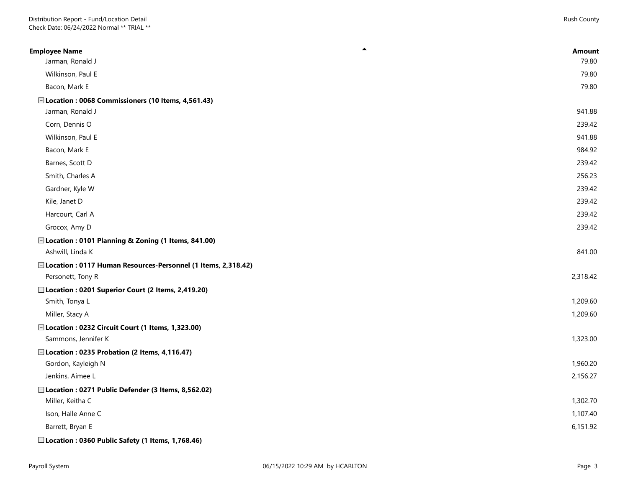| ▲<br><b>Employee Name</b>                                      | <b>Amount</b> |
|----------------------------------------------------------------|---------------|
| Jarman, Ronald J                                               | 79.80         |
| Wilkinson, Paul E                                              | 79.80         |
| Bacon, Mark E                                                  | 79.80         |
| □ Location: 0068 Commissioners (10 Items, 4,561.43)            |               |
| Jarman, Ronald J                                               | 941.88        |
| Corn, Dennis O                                                 | 239.42        |
| Wilkinson, Paul E                                              | 941.88        |
| Bacon, Mark E                                                  | 984.92        |
| Barnes, Scott D                                                | 239.42        |
| Smith, Charles A                                               | 256.23        |
| Gardner, Kyle W                                                | 239.42        |
| Kile, Janet D                                                  | 239.42        |
| Harcourt, Carl A                                               | 239.42        |
| Grocox, Amy D                                                  | 239.42        |
| □ Location: 0101 Planning & Zoning (1 Items, 841.00)           |               |
| Ashwill, Linda K                                               | 841.00        |
| □ Location: 0117 Human Resources-Personnel (1 Items, 2,318.42) |               |
| Personett, Tony R                                              | 2,318.42      |
| □ Location: 0201 Superior Court (2 Items, 2,419.20)            |               |
| Smith, Tonya L                                                 | 1,209.60      |
| Miller, Stacy A                                                | 1,209.60      |
| Elocation: 0232 Circuit Court (1 Items, 1,323.00)              |               |
| Sammons, Jennifer K                                            | 1,323.00      |
| □ Location: 0235 Probation (2 Items, 4,116.47)                 |               |
| Gordon, Kayleigh N                                             | 1,960.20      |
| Jenkins, Aimee L                                               | 2,156.27      |
| □ Location: 0271 Public Defender (3 Items, 8,562.02)           |               |
| Miller, Keitha C                                               | 1,302.70      |
| Ison, Halle Anne C                                             | 1,107.40      |
| Barrett, Bryan E                                               | 6,151.92      |
| □ Location: 0360 Public Safety (1 Items, 1,768.46)             |               |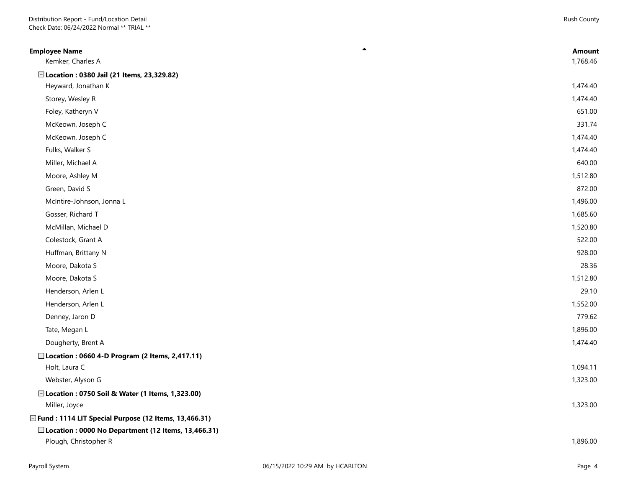| ▲<br><b>Employee Name</b><br>Kemker, Charles A         | <b>Amount</b><br>1,768.46 |
|--------------------------------------------------------|---------------------------|
| □ Location: 0380 Jail (21 Items, 23,329.82)            |                           |
| Heyward, Jonathan K                                    | 1,474.40                  |
| Storey, Wesley R                                       | 1,474.40                  |
| Foley, Katheryn V                                      | 651.00                    |
| McKeown, Joseph C                                      | 331.74                    |
| McKeown, Joseph C                                      | 1,474.40                  |
| Fulks, Walker S                                        | 1,474.40                  |
| Miller, Michael A                                      | 640.00                    |
| Moore, Ashley M                                        | 1,512.80                  |
| Green, David S                                         | 872.00                    |
| McIntire-Johnson, Jonna L                              | 1,496.00                  |
| Gosser, Richard T                                      | 1,685.60                  |
| McMillan, Michael D                                    | 1,520.80                  |
| Colestock, Grant A                                     | 522.00                    |
| Huffman, Brittany N                                    | 928.00                    |
| Moore, Dakota S                                        | 28.36                     |
| Moore, Dakota S                                        | 1,512.80                  |
| Henderson, Arlen L                                     | 29.10                     |
| Henderson, Arlen L                                     | 1,552.00                  |
| Denney, Jaron D                                        | 779.62                    |
| Tate, Megan L                                          | 1,896.00                  |
| Dougherty, Brent A                                     | 1,474.40                  |
| □ Location : 0660 4-D Program (2 Items, 2,417.11)      |                           |
| Holt, Laura C                                          | 1,094.11                  |
| Webster, Alyson G                                      | 1,323.00                  |
| □ Location: 0750 Soil & Water (1 Items, 1,323.00)      |                           |
| Miller, Joyce                                          | 1,323.00                  |
| □ Fund: 1114 LIT Special Purpose (12 Items, 13,466.31) |                           |
| □ Location: 0000 No Department (12 Items, 13,466.31)   |                           |
| Plough, Christopher R                                  | 1,896.00                  |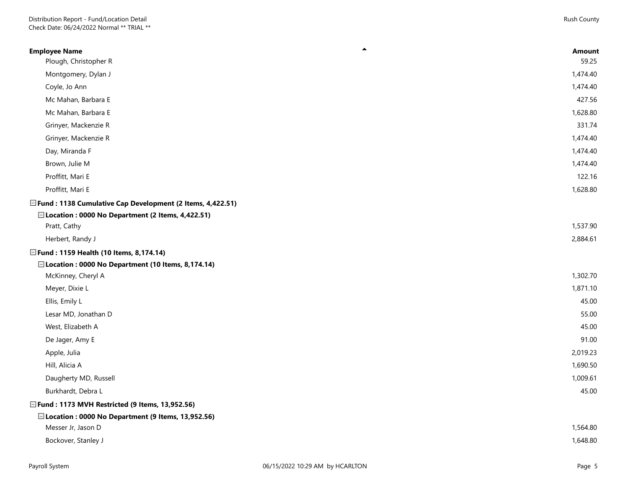| Plough, Christopher R<br>Montgomery, Dylan J<br>Coyle, Jo Ann<br>Mc Mahan, Barbara E<br>Mc Mahan, Barbara E<br>Grinyer, Mackenzie R<br>Grinyer, Mackenzie R<br>Day, Miranda F<br>Brown, Julie M<br>Proffitt, Mari E<br>Proffitt, Mari E<br>□ Fund : 1138 Cumulative Cap Development (2 Items, 4,422.51)<br>□ Location: 0000 No Department (2 Items, 4,422.51)<br>Pratt, Cathy<br>Herbert, Randy J<br>□ Fund: 1159 Health (10 Items, 8,174.14)<br>□ Location: 0000 No Department (10 Items, 8,174.14)<br>McKinney, Cheryl A<br>Meyer, Dixie L<br>Ellis, Emily L<br>Lesar MD, Jonathan D<br>West, Elizabeth A<br>De Jager, Amy E<br>Apple, Julia<br>Hill, Alicia A<br>Daugherty MD, Russell<br>Burkhardt, Debra L<br>□ Fund: 1173 MVH Restricted (9 Items, 13,952.56)<br>□ Location: 0000 No Department (9 Items, 13,952.56)<br>Messer Jr, Jason D | ▲<br><b>Employee Name</b> | <b>Amount</b> |
|--------------------------------------------------------------------------------------------------------------------------------------------------------------------------------------------------------------------------------------------------------------------------------------------------------------------------------------------------------------------------------------------------------------------------------------------------------------------------------------------------------------------------------------------------------------------------------------------------------------------------------------------------------------------------------------------------------------------------------------------------------------------------------------------------------------------------------------------------|---------------------------|---------------|
|                                                                                                                                                                                                                                                                                                                                                                                                                                                                                                                                                                                                                                                                                                                                                                                                                                                  |                           | 59.25         |
|                                                                                                                                                                                                                                                                                                                                                                                                                                                                                                                                                                                                                                                                                                                                                                                                                                                  |                           | 1,474.40      |
|                                                                                                                                                                                                                                                                                                                                                                                                                                                                                                                                                                                                                                                                                                                                                                                                                                                  |                           | 1,474.40      |
|                                                                                                                                                                                                                                                                                                                                                                                                                                                                                                                                                                                                                                                                                                                                                                                                                                                  |                           | 427.56        |
|                                                                                                                                                                                                                                                                                                                                                                                                                                                                                                                                                                                                                                                                                                                                                                                                                                                  |                           | 1,628.80      |
|                                                                                                                                                                                                                                                                                                                                                                                                                                                                                                                                                                                                                                                                                                                                                                                                                                                  |                           | 331.74        |
|                                                                                                                                                                                                                                                                                                                                                                                                                                                                                                                                                                                                                                                                                                                                                                                                                                                  |                           | 1,474.40      |
|                                                                                                                                                                                                                                                                                                                                                                                                                                                                                                                                                                                                                                                                                                                                                                                                                                                  |                           | 1,474.40      |
|                                                                                                                                                                                                                                                                                                                                                                                                                                                                                                                                                                                                                                                                                                                                                                                                                                                  |                           | 1,474.40      |
|                                                                                                                                                                                                                                                                                                                                                                                                                                                                                                                                                                                                                                                                                                                                                                                                                                                  |                           | 122.16        |
|                                                                                                                                                                                                                                                                                                                                                                                                                                                                                                                                                                                                                                                                                                                                                                                                                                                  |                           | 1,628.80      |
|                                                                                                                                                                                                                                                                                                                                                                                                                                                                                                                                                                                                                                                                                                                                                                                                                                                  |                           |               |
|                                                                                                                                                                                                                                                                                                                                                                                                                                                                                                                                                                                                                                                                                                                                                                                                                                                  |                           |               |
|                                                                                                                                                                                                                                                                                                                                                                                                                                                                                                                                                                                                                                                                                                                                                                                                                                                  |                           | 1,537.90      |
|                                                                                                                                                                                                                                                                                                                                                                                                                                                                                                                                                                                                                                                                                                                                                                                                                                                  |                           | 2,884.61      |
|                                                                                                                                                                                                                                                                                                                                                                                                                                                                                                                                                                                                                                                                                                                                                                                                                                                  |                           |               |
|                                                                                                                                                                                                                                                                                                                                                                                                                                                                                                                                                                                                                                                                                                                                                                                                                                                  |                           |               |
|                                                                                                                                                                                                                                                                                                                                                                                                                                                                                                                                                                                                                                                                                                                                                                                                                                                  |                           | 1,302.70      |
|                                                                                                                                                                                                                                                                                                                                                                                                                                                                                                                                                                                                                                                                                                                                                                                                                                                  |                           | 1,871.10      |
|                                                                                                                                                                                                                                                                                                                                                                                                                                                                                                                                                                                                                                                                                                                                                                                                                                                  |                           | 45.00         |
|                                                                                                                                                                                                                                                                                                                                                                                                                                                                                                                                                                                                                                                                                                                                                                                                                                                  |                           | 55.00         |
|                                                                                                                                                                                                                                                                                                                                                                                                                                                                                                                                                                                                                                                                                                                                                                                                                                                  |                           | 45.00         |
|                                                                                                                                                                                                                                                                                                                                                                                                                                                                                                                                                                                                                                                                                                                                                                                                                                                  |                           | 91.00         |
|                                                                                                                                                                                                                                                                                                                                                                                                                                                                                                                                                                                                                                                                                                                                                                                                                                                  |                           | 2,019.23      |
|                                                                                                                                                                                                                                                                                                                                                                                                                                                                                                                                                                                                                                                                                                                                                                                                                                                  |                           | 1,690.50      |
|                                                                                                                                                                                                                                                                                                                                                                                                                                                                                                                                                                                                                                                                                                                                                                                                                                                  |                           | 1,009.61      |
|                                                                                                                                                                                                                                                                                                                                                                                                                                                                                                                                                                                                                                                                                                                                                                                                                                                  |                           | 45.00         |
|                                                                                                                                                                                                                                                                                                                                                                                                                                                                                                                                                                                                                                                                                                                                                                                                                                                  |                           |               |
|                                                                                                                                                                                                                                                                                                                                                                                                                                                                                                                                                                                                                                                                                                                                                                                                                                                  |                           |               |
|                                                                                                                                                                                                                                                                                                                                                                                                                                                                                                                                                                                                                                                                                                                                                                                                                                                  |                           | 1,564.80      |
|                                                                                                                                                                                                                                                                                                                                                                                                                                                                                                                                                                                                                                                                                                                                                                                                                                                  | Bockover, Stanley J       | 1,648.80      |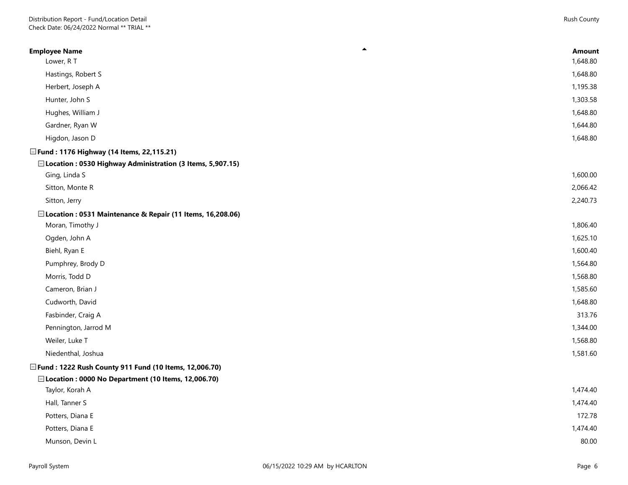| $\blacktriangle$<br><b>Employee Name</b>                    | <b>Amount</b> |
|-------------------------------------------------------------|---------------|
| Lower, R T                                                  | 1,648.80      |
| Hastings, Robert S                                          | 1,648.80      |
| Herbert, Joseph A                                           | 1,195.38      |
| Hunter, John S                                              | 1,303.58      |
| Hughes, William J                                           | 1,648.80      |
| Gardner, Ryan W                                             | 1,644.80      |
| Higdon, Jason D                                             | 1,648.80      |
| □ Fund: 1176 Highway (14 Items, 22,115.21)                  |               |
| □ Location: 0530 Highway Administration (3 Items, 5,907.15) |               |
| Ging, Linda S                                               | 1,600.00      |
| Sitton, Monte R                                             | 2,066.42      |
| Sitton, Jerry                                               | 2,240.73      |
| □ Location: 0531 Maintenance & Repair (11 Items, 16,208.06) |               |
| Moran, Timothy J                                            | 1,806.40      |
| Ogden, John A                                               | 1,625.10      |
| Biehl, Ryan E                                               | 1,600.40      |
| Pumphrey, Brody D                                           | 1,564.80      |
| Morris, Todd D                                              | 1,568.80      |
| Cameron, Brian J                                            | 1,585.60      |
| Cudworth, David                                             | 1,648.80      |
| Fasbinder, Craig A                                          | 313.76        |
| Pennington, Jarrod M                                        | 1,344.00      |
| Weiler, Luke T                                              | 1,568.80      |
| Niedenthal, Joshua                                          | 1,581.60      |
| □ Fund: 1222 Rush County 911 Fund (10 Items, 12,006.70)     |               |
| □ Location : 0000 No Department (10 Items, 12,006.70)       |               |
| Taylor, Korah A                                             | 1,474.40      |
| Hall, Tanner S                                              | 1,474.40      |
| Potters, Diana E                                            | 172.78        |
| Potters, Diana E                                            | 1,474.40      |
| Munson, Devin L                                             | 80.00         |
|                                                             |               |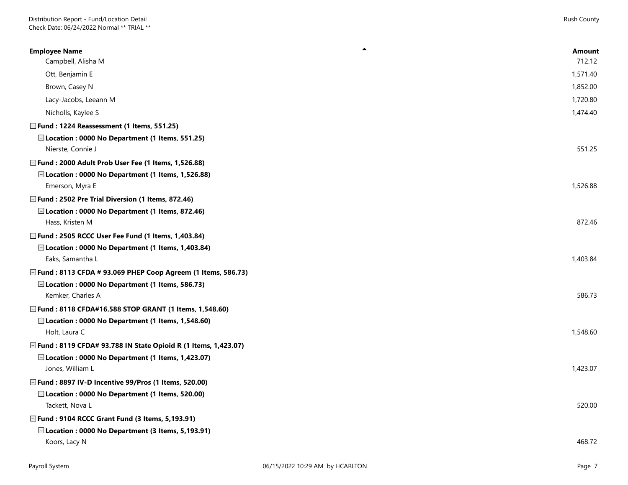| ▲<br><b>Employee Name</b><br>Campbell, Alisha M                        | <b>Amount</b><br>712.12 |
|------------------------------------------------------------------------|-------------------------|
| Ott, Benjamin E                                                        | 1,571.40                |
| Brown, Casey N                                                         | 1,852.00                |
| Lacy-Jacobs, Leeann M                                                  | 1,720.80                |
| Nicholls, Kaylee S                                                     | 1,474.40                |
| □ Fund: 1224 Reassessment (1 Items, 551.25)                            |                         |
| □Location: 0000 No Department (1 Items, 551.25)                        |                         |
| Nierste, Connie J                                                      | 551.25                  |
| □ Fund : 2000 Adult Prob User Fee (1 Items, 1,526.88)                  |                         |
| □ Location : 0000 No Department (1 Items, 1,526.88)                    |                         |
| Emerson, Myra E                                                        | 1,526.88                |
| □ Fund: 2502 Pre Trial Diversion (1 Items, 872.46)                     |                         |
| □ Location: 0000 No Department (1 Items, 872.46)<br>Hass, Kristen M    | 872.46                  |
| □ Fund : 2505 RCCC User Fee Fund (1 Items, 1,403.84)                   |                         |
| □ Location: 0000 No Department (1 Items, 1,403.84)                     |                         |
| Eaks, Samantha L                                                       | 1,403.84                |
| □ Fund : 8113 CFDA # 93.069 PHEP Coop Agreem (1 Items, 586.73)         |                         |
| □ Location : 0000 No Department (1 Items, 586.73)                      |                         |
| Kemker, Charles A                                                      | 586.73                  |
| □ Fund: 8118 CFDA#16.588 STOP GRANT (1 Items, 1,548.60)                |                         |
| □ Location: 0000 No Department (1 Items, 1,548.60)                     |                         |
| Holt, Laura C                                                          | 1,548.60                |
| □ Fund : 8119 CFDA# 93.788 IN State Opioid R (1 Items, 1,423.07)       |                         |
| □ Location: 0000 No Department (1 Items, 1,423.07)<br>Jones, William L | 1,423.07                |
| □ Fund: 8897 IV-D Incentive 99/Pros (1 Items, 520.00)                  |                         |
| □ Location: 0000 No Department (1 Items, 520.00)                       |                         |
| Tackett, Nova L                                                        | 520.00                  |
| □ Fund : 9104 RCCC Grant Fund (3 Items, 5,193.91)                      |                         |
| □ Location: 0000 No Department (3 Items, 5,193.91)                     |                         |
| Koors, Lacy N                                                          | 468.72                  |
|                                                                        |                         |